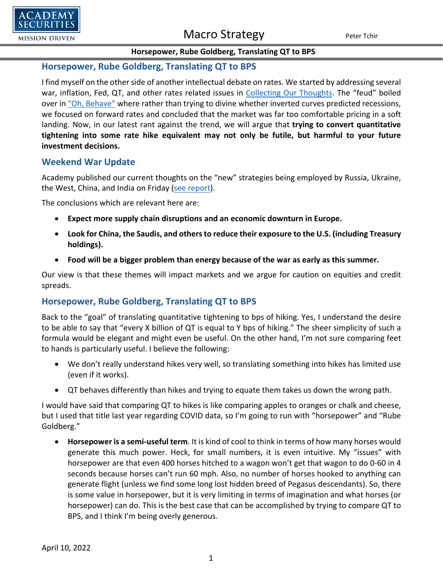

#### **Horsepower, Rube Goldberg, Translating QT to BPS**

#### **Horsepower, Rube Goldberg, Translating QT to BPS**

I find myself on the other side of another intellectual debate on rates. We started by addressing several war, inflation, Fed, QT, and other rates related issues in [Collecting Our Thoughts.](https://www.academysecurities.com/wordpress/wp-content/uploads/2022/03/Collecting-Our-Thoughts-1.pdf) The "feud" boiled over i[n "Oh, Behave"](https://www.academysecurities.com/wordpress/wp-content/uploads/2022/04/Austin-Powers-on-the-Yield-Curve.pdf) where rather than trying to divine whether inverted curves predicted recessions, we focused on forward rates and concluded that the market was far too comfortable pricing in a soft landing. Now, in our latest rant against the trend, we will argue that **trying to convert quantitative tightening into some rate hike equivalent may not only be futile, but harmful to your future investment decisions.**

#### **Weekend War Update**

Academy published our current thoughts on the "new" strategies being employed by Russia, Ukraine, the West, China, and India on Friday [\(see report\)](https://www.academysecurities.com/wordpress/wp-content/uploads/2022/04/The-Academy-T-Report-Weekend-War-Update.pdf).

The conclusions which are relevant here are:

- **Expect more supply chain disruptions and an economic downturn in Europe.**
- **Look for China, the Saudis, and others to reduce their exposure to the U.S. (including Treasury holdings).**
- **Food will be a bigger problem than energy because of the war as early as this summer.**

Our view is that these themes will impact markets and we argue for caution on equities and credit spreads.

## **Horsepower, Rube Goldberg, Translating QT to BPS**

Back to the "goal" of translating quantitative tightening to bps of hiking. Yes, I understand the desire to be able to say that "every X billion of QT is equal to Y bps of hiking." The sheer simplicity of such a formula would be elegant and might even be useful. On the other hand, I'm not sure comparing feet to hands is particularly useful. I believe the following:

- We don't really understand hikes very well, so translating something into hikes has limited use (even if it works).
- QT behaves differently than hikes and trying to equate them takes us down the wrong path.

I would have said that comparing QT to hikes is like comparing apples to oranges or chalk and cheese, but I used that title last year regarding COVID data, so I'm going to run with "horsepower" and "Rube Goldberg."

• **Horsepower is a semi-useful term**. It is kind of cool to think in terms of how many horses would generate this much power. Heck, for small numbers, it is even intuitive. My "issues" with horsepower are that even 400 horses hitched to a wagon won't get that wagon to do 0-60 in 4 seconds because horses can't run 60 mph. Also, no number of horses hooked to anything can generate flight (unless we find some long lost hidden breed of Pegasus descendants). So, there is some value in horsepower, but it is very limiting in terms of imagination and what horses (or horsepower) can do. This is the best case that can be accomplished by trying to compare QT to BPS, and I think I'm being overly generous.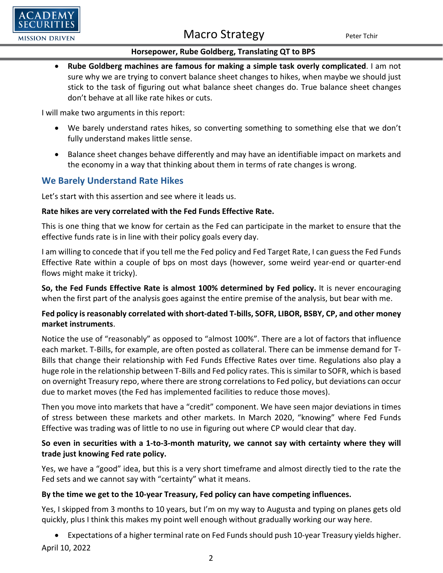#### **Horsepower, Rube Goldberg, Translating QT to BPS**

• **Rube Goldberg machines are famous for making a simple task overly complicated**. I am not sure why we are trying to convert balance sheet changes to hikes, when maybe we should just stick to the task of figuring out what balance sheet changes do. True balance sheet changes don't behave at all like rate hikes or cuts.

I will make two arguments in this report:

 $DFMY$ 

**MISSION DRIVEN** 

- We barely understand rates hikes, so converting something to something else that we don't fully understand makes little sense.
- Balance sheet changes behave differently and may have an identifiable impact on markets and the economy in a way that thinking about them in terms of rate changes is wrong.

## **We Barely Understand Rate Hikes**

Let's start with this assertion and see where it leads us.

#### **Rate hikes are very correlated with the Fed Funds Effective Rate.**

This is one thing that we know for certain as the Fed can participate in the market to ensure that the effective funds rate is in line with their policy goals every day.

I am willing to concede that if you tell me the Fed policy and Fed Target Rate, I can guess the Fed Funds Effective Rate within a couple of bps on most days (however, some weird year-end or quarter-end flows might make it tricky).

**So, the Fed Funds Effective Rate is almost 100% determined by Fed policy.** It is never encouraging when the first part of the analysis goes against the entire premise of the analysis, but bear with me.

### **Fed policy is reasonably correlated with short-dated T-bills, SOFR, LIBOR, BSBY, CP, and other money market instruments**.

Notice the use of "reasonably" as opposed to "almost 100%". There are a lot of factors that influence each market. T-Bills, for example, are often posted as collateral. There can be immense demand for T-Bills that change their relationship with Fed Funds Effective Rates over time. Regulations also play a huge role in the relationship between T-Bills and Fed policy rates. This is similar to SOFR, which is based on overnight Treasury repo, where there are strong correlations to Fed policy, but deviations can occur due to market moves (the Fed has implemented facilities to reduce those moves).

Then you move into markets that have a "credit" component. We have seen major deviations in times of stress between these markets and other markets. In March 2020, "knowing" where Fed Funds Effective was trading was of little to no use in figuring out where CP would clear that day.

#### **So even in securities with a 1-to-3-month maturity, we cannot say with certainty where they will trade just knowing Fed rate policy.**

Yes, we have a "good" idea, but this is a very short timeframe and almost directly tied to the rate the Fed sets and we cannot say with "certainty" what it means.

#### **By the time we get to the 10-year Treasury, Fed policy can have competing influences.**

Yes, I skipped from 3 months to 10 years, but I'm on my way to Augusta and typing on planes gets old quickly, plus I think this makes my point well enough without gradually working our way here.

April 10, 2022 • Expectations of a higher terminal rate on Fed Funds should push 10-year Treasury yields higher.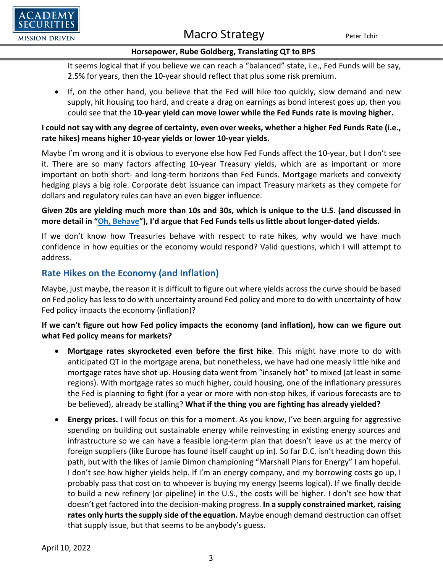

#### **Horsepower, Rube Goldberg, Translating QT to BPS**

It seems logical that if you believe we can reach a "balanced" state, i.e., Fed Funds will be say, 2.5% for years, then the 10-year should reflect that plus some risk premium.

• If, on the other hand, you believe that the Fed will hike too quickly, slow demand and new supply, hit housing too hard, and create a drag on earnings as bond interest goes up, then you could see that the **10-year yield can move lower while the Fed Funds rate is moving higher.**

#### **I could not say with any degree of certainty, even over weeks, whether a higher Fed Funds Rate (i.e., rate hikes) means higher 10-year yields or lower 10-year yields.**

Maybe I'm wrong and it is obvious to everyone else how Fed Funds affect the 10-year, but I don't see it. There are so many factors affecting 10-year Treasury yields, which are as important or more important on both short- and long-term horizons than Fed Funds. Mortgage markets and convexity hedging plays a big role. Corporate debt issuance can impact Treasury markets as they compete for dollars and regulatory rules can have an even bigger influence.

### **Given 20s are yielding much more than 10s and 30s, which is unique to the U.S. (and discussed in more detail in ["Oh, Behave"](https://www.academysecurities.com/wordpress/wp-content/uploads/2022/04/Austin-Powers-on-the-Yield-Curve.pdf)), I'd argue that Fed Funds tells us little about longer-dated yields.**

If we don't know how Treasuries behave with respect to rate hikes, why would we have much confidence in how equities or the economy would respond? Valid questions, which I will attempt to address.

## **Rate Hikes on the Economy (and Inflation)**

Maybe, just maybe, the reason it is difficult to figure out where yields across the curve should be based on Fed policy has less to do with uncertainty around Fed policy and more to do with uncertainty of how Fed policy impacts the economy (inflation)?

## **If we can't figure out how Fed policy impacts the economy (and inflation), how can we figure out what Fed policy means for markets?**

- **Mortgage rates skyrocketed even before the first hike**. This might have more to do with anticipated QT in the mortgage arena, but nonetheless, we have had one measly little hike and mortgage rates have shot up. Housing data went from "insanely hot" to mixed (at least in some regions). With mortgage rates so much higher, could housing, one of the inflationary pressures the Fed is planning to fight (for a year or more with non-stop hikes, if various forecasts are to be believed), already be stalling? **What if the thing you are fighting has already yielded?**
- **Energy prices.** I will focus on this for a moment. As you know, I've been arguing for aggressive spending on building out sustainable energy while reinvesting in existing energy sources and infrastructure so we can have a feasible long-term plan that doesn't leave us at the mercy of foreign suppliers (like Europe has found itself caught up in). So far D.C. isn't heading down this path, but with the likes of Jamie Dimon championing "Marshall Plans for Energy" I am hopeful. I don't see how higher yields help. If I'm an energy company, and my borrowing costs go up, I probably pass that cost on to whoever is buying my energy (seems logical). If we finally decide to build a new refinery (or pipeline) in the U.S., the costs will be higher. I don't see how that doesn't get factored into the decision-making progress. **In a supply constrained market, raising rates only hurts the supply side of the equation.** Maybe enough demand destruction can offset that supply issue, but that seems to be anybody's guess.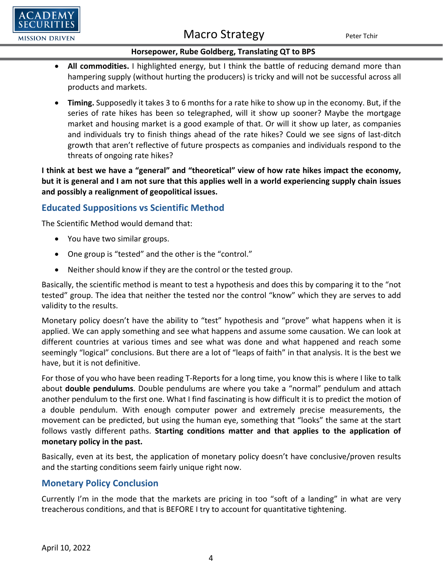

#### **Horsepower, Rube Goldberg, Translating QT to BPS**

- **All commodities.** I highlighted energy, but I think the battle of reducing demand more than hampering supply (without hurting the producers) is tricky and will not be successful across all products and markets.
- **Timing.** Supposedly it takes 3 to 6 months for a rate hike to show up in the economy. But, if the series of rate hikes has been so telegraphed, will it show up sooner? Maybe the mortgage market and housing market is a good example of that. Or will it show up later, as companies and individuals try to finish things ahead of the rate hikes? Could we see signs of last-ditch growth that aren't reflective of future prospects as companies and individuals respond to the threats of ongoing rate hikes?

**I think at best we have a "general" and "theoretical" view of how rate hikes impact the economy, but it is general and I am not sure that this applies well in a world experiencing supply chain issues and possibly a realignment of geopolitical issues.**

## **Educated Suppositions vs Scientific Method**

The Scientific Method would demand that:

- You have two similar groups.
- One group is "tested" and the other is the "control."
- Neither should know if they are the control or the tested group.

Basically, the scientific method is meant to test a hypothesis and does this by comparing it to the "not tested" group. The idea that neither the tested nor the control "know" which they are serves to add validity to the results.

Monetary policy doesn't have the ability to "test" hypothesis and "prove" what happens when it is applied. We can apply something and see what happens and assume some causation. We can look at different countries at various times and see what was done and what happened and reach some seemingly "logical" conclusions. But there are a lot of "leaps of faith" in that analysis. It is the best we have, but it is not definitive.

For those of you who have been reading T-Reports for a long time, you know this is where I like to talk about **double pendulums**. Double pendulums are where you take a "normal" pendulum and attach another pendulum to the first one. What I find fascinating is how difficult it is to predict the motion of a double pendulum. With enough computer power and extremely precise measurements, the movement can be predicted, but using the human eye, something that "looks" the same at the start follows vastly different paths. **Starting conditions matter and that applies to the application of monetary policy in the past.**

Basically, even at its best, the application of monetary policy doesn't have conclusive/proven results and the starting conditions seem fairly unique right now.

## **Monetary Policy Conclusion**

Currently I'm in the mode that the markets are pricing in too "soft of a landing" in what are very treacherous conditions, and that is BEFORE I try to account for quantitative tightening.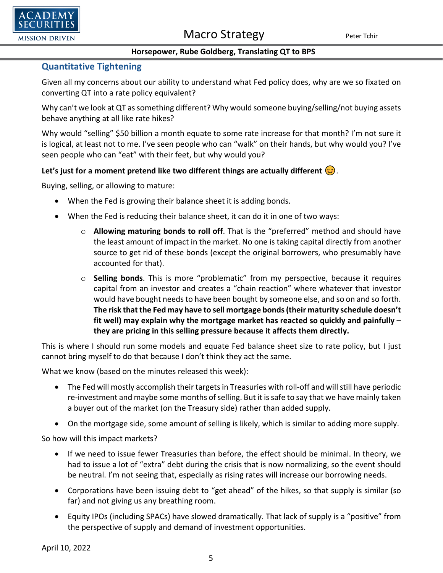



#### **Horsepower, Rube Goldberg, Translating QT to BPS**

### **Quantitative Tightening**

Given all my concerns about our ability to understand what Fed policy does, why are we so fixated on converting QT into a rate policy equivalent?

Why can't we look at QT as something different? Why would someone buying/selling/not buying assets behave anything at all like rate hikes?

Why would "selling" \$50 billion a month equate to some rate increase for that month? I'm not sure it is logical, at least not to me. I've seen people who can "walk" on their hands, but why would you? I've seen people who can "eat" with their feet, but why would you?

#### Let's just for a moment pretend like two different things are actually different  $\odot$ .

Buying, selling, or allowing to mature:

- When the Fed is growing their balance sheet it is adding bonds.
- When the Fed is reducing their balance sheet, it can do it in one of two ways:
	- o **Allowing maturing bonds to roll off**. That is the "preferred" method and should have the least amount of impact in the market. No one is taking capital directly from another source to get rid of these bonds (except the original borrowers, who presumably have accounted for that).
	- o **Selling bonds**. This is more "problematic" from my perspective, because it requires capital from an investor and creates a "chain reaction" where whatever that investor would have bought needs to have been bought by someone else, and so on and so forth. **The risk that the Fed may have to sell mortgage bonds (their maturity schedule doesn't fit well) may explain why the mortgage market has reacted so quickly and painfully – they are pricing in this selling pressure because it affects them directly.**

This is where I should run some models and equate Fed balance sheet size to rate policy, but I just cannot bring myself to do that because I don't think they act the same.

What we know (based on the minutes released this week):

- The Fed will mostly accomplish their targets in Treasuries with roll-off and will still have periodic re-investment and maybe some months of selling. But it is safe to say that we have mainly taken a buyer out of the market (on the Treasury side) rather than added supply.
- On the mortgage side, some amount of selling is likely, which is similar to adding more supply.

So how will this impact markets?

- If we need to issue fewer Treasuries than before, the effect should be minimal. In theory, we had to issue a lot of "extra" debt during the crisis that is now normalizing, so the event should be neutral. I'm not seeing that, especially as rising rates will increase our borrowing needs.
- Corporations have been issuing debt to "get ahead" of the hikes, so that supply is similar (so far) and not giving us any breathing room.
- Equity IPOs (including SPACs) have slowed dramatically. That lack of supply is a "positive" from the perspective of supply and demand of investment opportunities.

April 10, 2022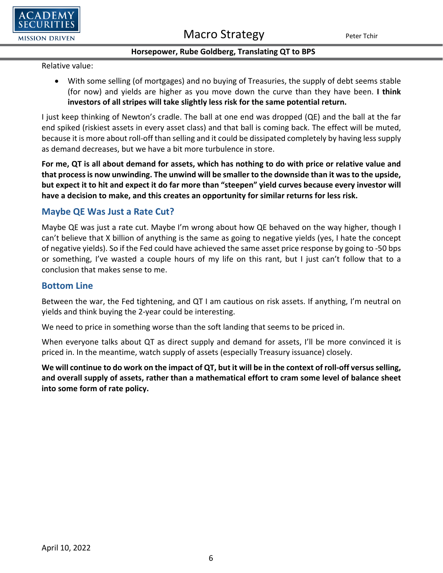

#### **Horsepower, Rube Goldberg, Translating QT to BPS**

Relative value:

• With some selling (of mortgages) and no buying of Treasuries, the supply of debt seems stable (for now) and yields are higher as you move down the curve than they have been. **I think investors of all stripes will take slightly less risk for the same potential return.**

I just keep thinking of Newton's cradle. The ball at one end was dropped (QE) and the ball at the far end spiked (riskiest assets in every asset class) and that ball is coming back. The effect will be muted, because it is more about roll-off than selling and it could be dissipated completely by having less supply as demand decreases, but we have a bit more turbulence in store.

**For me, QT is all about demand for assets, which has nothing to do with price or relative value and that process is now unwinding. The unwind will be smaller to the downside than it was to the upside, but expect it to hit and expect it do far more than "steepen" yield curves because every investor will have a decision to make, and this creates an opportunity for similar returns for less risk.**

## **Maybe QE Was Just a Rate Cut?**

Maybe QE was just a rate cut. Maybe I'm wrong about how QE behaved on the way higher, though I can't believe that X billion of anything is the same as going to negative yields (yes, I hate the concept of negative yields). So if the Fed could have achieved the same asset price response by going to -50 bps or something, I've wasted a couple hours of my life on this rant, but I just can't follow that to a conclusion that makes sense to me.

## **Bottom Line**

Between the war, the Fed tightening, and QT I am cautious on risk assets. If anything, I'm neutral on yields and think buying the 2-year could be interesting.

We need to price in something worse than the soft landing that seems to be priced in.

When everyone talks about QT as direct supply and demand for assets, I'll be more convinced it is priced in. In the meantime, watch supply of assets (especially Treasury issuance) closely.

**We will continue to do work on the impact of QT, but it will be in the context of roll-off versus selling, and overall supply of assets, rather than a mathematical effort to cram some level of balance sheet into some form of rate policy.**